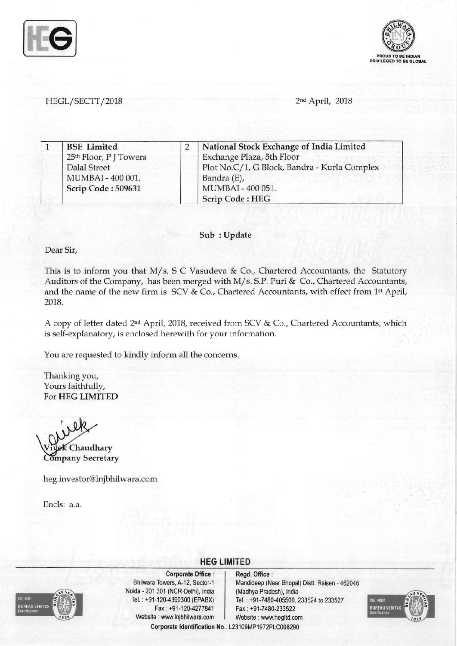



### *HEGL/SECTT12018* 2nd April, 2018

| <b>BSE</b> Limited                 | National Stock Exchange of India Limited     |  |
|------------------------------------|----------------------------------------------|--|
| 25 <sup>th</sup> Floor, P J Towers | Exchange Plaza, 5th Floor                    |  |
| Dalal Street                       | Plot No.C/1, G Block, Bandra - Kurla Complex |  |
| MUMBAI - 400 001.                  | Bandra (E),                                  |  |
| Scrip Code: 509631                 | MUMBAI - 400 051.                            |  |
|                                    | <b>Scrip Code: HEG</b>                       |  |

#### Sub: Update

Dear Sir,

This is to inform you that M/s. S C Vasudeva & Co., Chartered Accountants, the Statutory Auditors of the Company, has been merged with M/s. S.P. Puri & Co., Chartered Accountants, and the name of the new firm is SCV & Co., Chartered Accountants, with effect from 1st April, 2018.

A copy of letter dated 2<sup>nd</sup> April, 2018, received from SCV & Co., Chartered Accountants, which is self-explanatory, is enclosed herewith for your information. .

**HEG LIMITED** 

You are requested to kindly inform all the concerns.

Thanking you, Yours faithfully, For HEG LIMITED

Chaudhary **Company Secretary** 

heg.investor@lnjbhilwara.com

Encls: a.a.



Corporate Office : | Regd. Office : Noida • 201 301 (NCR·Delhi), India (Madhya Pradesh), India Fax: +91·120-4277841 Fax: +91·7480·233522 Website: www.lnjbhilwara.com | Website: www.hegltd.com

Bhilwara Towers, A-12, Sector-1 Mandideep (Near Bhopal) Distt. Raisen - 462046 Tel. : +91·120-4390300 (EPABX) Tel. : +91·7480-405500, 233524 to 233527 Corporate Identification No.: L23109MP1972PLC008290